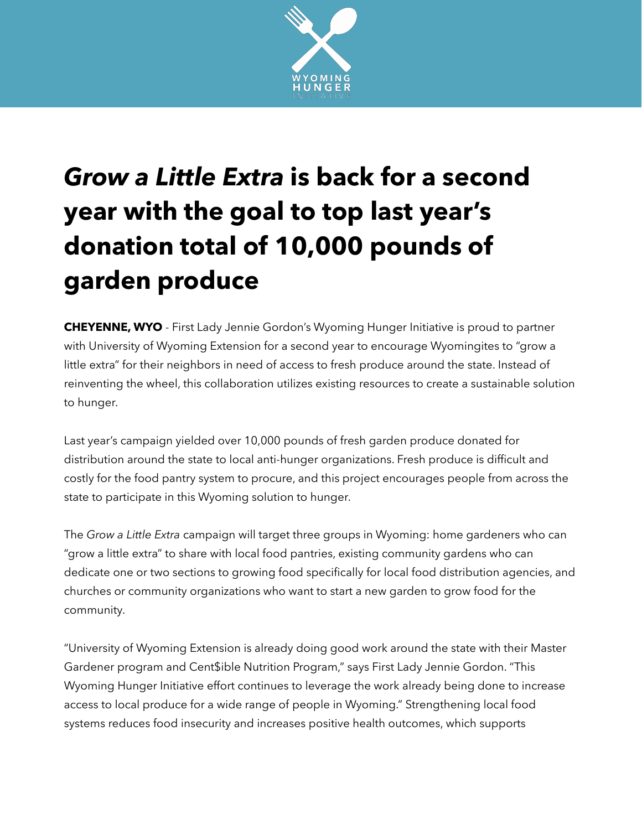

## *Grow a Little Extra* **is back for a second year with the goal to top last year's donation total of 10,000 pounds of garden produce**

**CHEYENNE, WYO** - First Lady Jennie Gordon's Wyoming Hunger Initiative is proud to partner with University of Wyoming Extension for a second year to encourage Wyomingites to "grow a little extra" for their neighbors in need of access to fresh produce around the state. Instead of reinventing the wheel, this collaboration utilizes existing resources to create a sustainable solution to hunger.

Last year's campaign yielded over 10,000 pounds of fresh garden produce donated for distribution around the state to local anti-hunger organizations. Fresh produce is difficult and costly for the food pantry system to procure, and this project encourages people from across the state to participate in this Wyoming solution to hunger.

The *Grow a Little Extra* campaign will target three groups in Wyoming: home gardeners who can "grow a little extra" to share with local food pantries, existing community gardens who can dedicate one or two sections to growing food specifically for local food distribution agencies, and churches or community organizations who want to start a new garden to grow food for the community.

"University of Wyoming Extension is already doing good work around the state with their Master Gardener program and Cent\$ible Nutrition Program," says First Lady Jennie Gordon. "This Wyoming Hunger Initiative effort continues to leverage the work already being done to increase access to local produce for a wide range of people in Wyoming." Strengthening local food systems reduces food insecurity and increases positive health outcomes, which supports